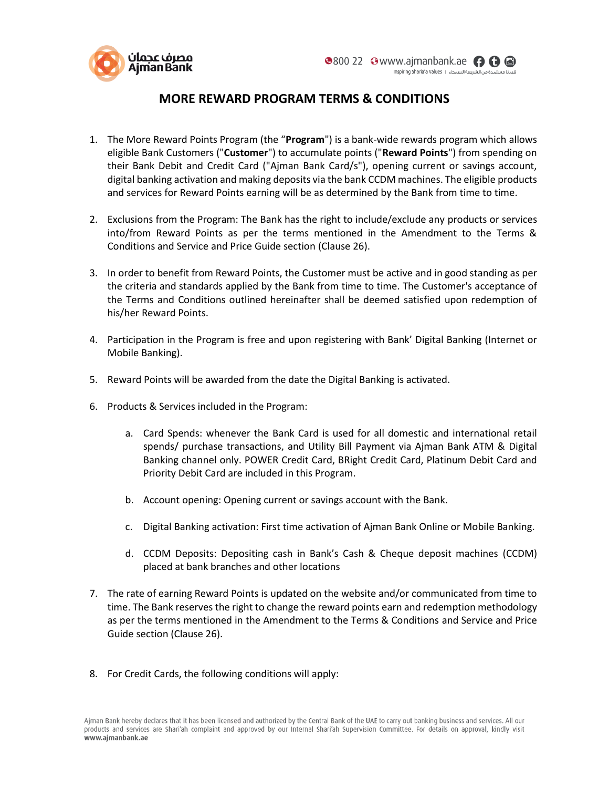

## **MORE REWARD PROGRAM TERMS & CONDITIONS**

- 1. The More Reward Points Program (the "**Program**") is a bank-wide rewards program which allows eligible Bank Customers ("**Customer**") to accumulate points ("**Reward Points**") from spending on their Bank Debit and Credit Card ("Ajman Bank Card/s"), opening current or savings account, digital banking activation and making deposits via the bank CCDM machines. The eligible products and services for Reward Points earning will be as determined by the Bank from time to time.
- 2. Exclusions from the Program: The Bank has the right to include/exclude any products or services into/from Reward Points as per the terms mentioned in the Amendment to the Terms & Conditions and Service and Price Guide section (Clause 26).
- 3. In order to benefit from Reward Points, the Customer must be active and in good standing as per the criteria and standards applied by the Bank from time to time. The Customer's acceptance of the Terms and Conditions outlined hereinafter shall be deemed satisfied upon redemption of his/her Reward Points.
- 4. Participation in the Program is free and upon registering with Bank' Digital Banking (Internet or Mobile Banking).
- 5. Reward Points will be awarded from the date the Digital Banking is activated.
- 6. Products & Services included in the Program:
	- a. Card Spends: whenever the Bank Card is used for all domestic and international retail spends/ purchase transactions, and Utility Bill Payment via Ajman Bank ATM & Digital Banking channel only. POWER Credit Card, BRight Credit Card, Platinum Debit Card and Priority Debit Card are included in this Program.
	- b. Account opening: Opening current or savings account with the Bank.
	- c. Digital Banking activation: First time activation of Ajman Bank Online or Mobile Banking.
	- d. CCDM Deposits: Depositing cash in Bank's Cash & Cheque deposit machines (CCDM) placed at bank branches and other locations
- 7. The rate of earning Reward Points is updated on the website and/or communicated from time to time. The Bank reserves the right to change the reward points earn and redemption methodology as per the terms mentioned in the Amendment to the Terms & Conditions and Service and Price Guide section (Clause 26).
- 8. For Credit Cards, the following conditions will apply: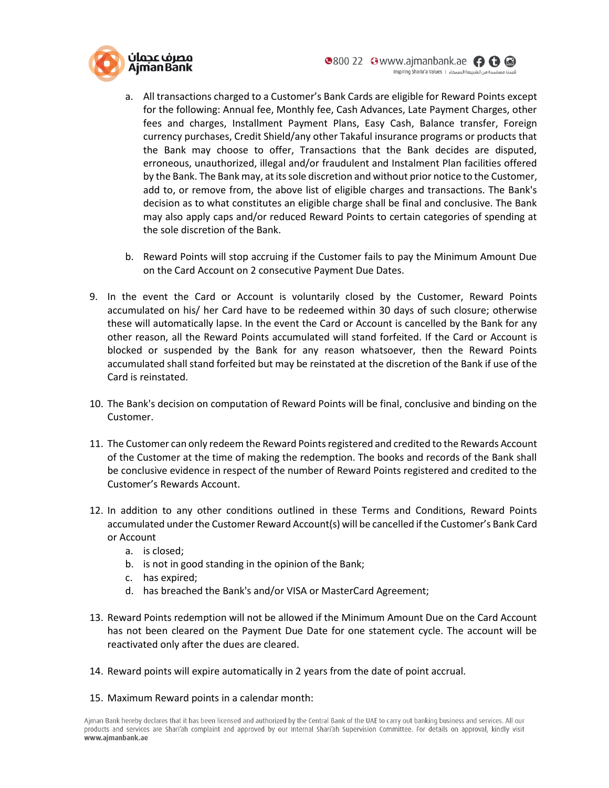

- a. All transactions charged to a Customer's Bank Cards are eligible for Reward Points except for the following: Annual fee, Monthly fee, Cash Advances, Late Payment Charges, other fees and charges, Installment Payment Plans, Easy Cash, Balance transfer, Foreign currency purchases, Credit Shield/any other Takaful insurance programs or products that the Bank may choose to offer, Transactions that the Bank decides are disputed, erroneous, unauthorized, illegal and/or fraudulent and Instalment Plan facilities offered by the Bank. The Bank may, at its sole discretion and without prior notice to the Customer, add to, or remove from, the above list of eligible charges and transactions. The Bank's decision as to what constitutes an eligible charge shall be final and conclusive. The Bank may also apply caps and/or reduced Reward Points to certain categories of spending at the sole discretion of the Bank.
- b. Reward Points will stop accruing if the Customer fails to pay the Minimum Amount Due on the Card Account on 2 consecutive Payment Due Dates.
- 9. In the event the Card or Account is voluntarily closed by the Customer, Reward Points accumulated on his/ her Card have to be redeemed within 30 days of such closure; otherwise these will automatically lapse. In the event the Card or Account is cancelled by the Bank for any other reason, all the Reward Points accumulated will stand forfeited. If the Card or Account is blocked or suspended by the Bank for any reason whatsoever, then the Reward Points accumulated shall stand forfeited but may be reinstated at the discretion of the Bank if use of the Card is reinstated.
- 10. The Bank's decision on computation of Reward Points will be final, conclusive and binding on the Customer.
- 11. The Customer can only redeem the Reward Points registered and credited to the Rewards Account of the Customer at the time of making the redemption. The books and records of the Bank shall be conclusive evidence in respect of the number of Reward Points registered and credited to the Customer's Rewards Account.
- 12. In addition to any other conditions outlined in these Terms and Conditions, Reward Points accumulated under the Customer Reward Account(s) will be cancelled if the Customer's Bank Card or Account
	- a. is closed;
	- b. is not in good standing in the opinion of the Bank;
	- c. has expired;
	- d. has breached the Bank's and/or VISA or MasterCard Agreement;
- 13. Reward Points redemption will not be allowed if the Minimum Amount Due on the Card Account has not been cleared on the Payment Due Date for one statement cycle. The account will be reactivated only after the dues are cleared.
- 14. Reward points will expire automatically in 2 years from the date of point accrual.
- 15. Maximum Reward points in a calendar month: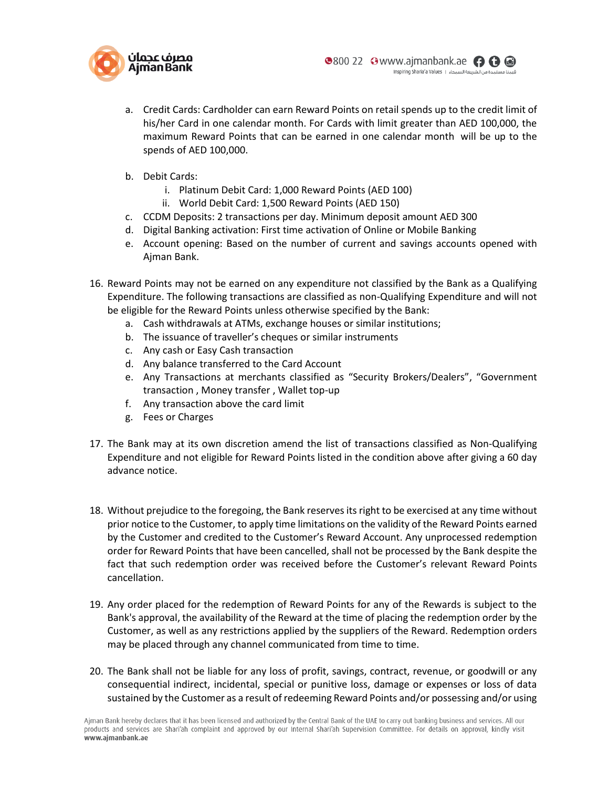

- a. Credit Cards: Cardholder can earn Reward Points on retail spends up to the credit limit of his/her Card in one calendar month. For Cards with limit greater than AED 100,000, the maximum Reward Points that can be earned in one calendar month will be up to the spends of AED 100,000.
- b. Debit Cards:
	- i. Platinum Debit Card: 1,000 Reward Points (AED 100)
	- ii. World Debit Card: 1,500 Reward Points (AED 150)
- c. CCDM Deposits: 2 transactions per day. Minimum deposit amount AED 300
- d. Digital Banking activation: First time activation of Online or Mobile Banking
- e. Account opening: Based on the number of current and savings accounts opened with Ajman Bank.
- 16. Reward Points may not be earned on any expenditure not classified by the Bank as a Qualifying Expenditure. The following transactions are classified as non-Qualifying Expenditure and will not be eligible for the Reward Points unless otherwise specified by the Bank:
	- a. Cash withdrawals at ATMs, exchange houses or similar institutions;
	- b. The issuance of traveller's cheques or similar instruments
	- c. Any cash or Easy Cash transaction
	- d. Any balance transferred to the Card Account
	- e. Any Transactions at merchants classified as "Security Brokers/Dealers", "Government transaction , Money transfer , Wallet top-up
	- f. Any transaction above the card limit
	- g. Fees or Charges
- 17. The Bank may at its own discretion amend the list of transactions classified as Non-Qualifying Expenditure and not eligible for Reward Points listed in the condition above after giving a 60 day advance notice.
- 18. Without prejudice to the foregoing, the Bank reserves its right to be exercised at any time without prior notice to the Customer, to apply time limitations on the validity of the Reward Points earned by the Customer and credited to the Customer's Reward Account. Any unprocessed redemption order for Reward Points that have been cancelled, shall not be processed by the Bank despite the fact that such redemption order was received before the Customer's relevant Reward Points cancellation.
- 19. Any order placed for the redemption of Reward Points for any of the Rewards is subject to the Bank's approval, the availability of the Reward at the time of placing the redemption order by the Customer, as well as any restrictions applied by the suppliers of the Reward. Redemption orders may be placed through any channel communicated from time to time.
- 20. The Bank shall not be liable for any loss of profit, savings, contract, revenue, or goodwill or any consequential indirect, incidental, special or punitive loss, damage or expenses or loss of data sustained by the Customer as a result of redeeming Reward Points and/or possessing and/or using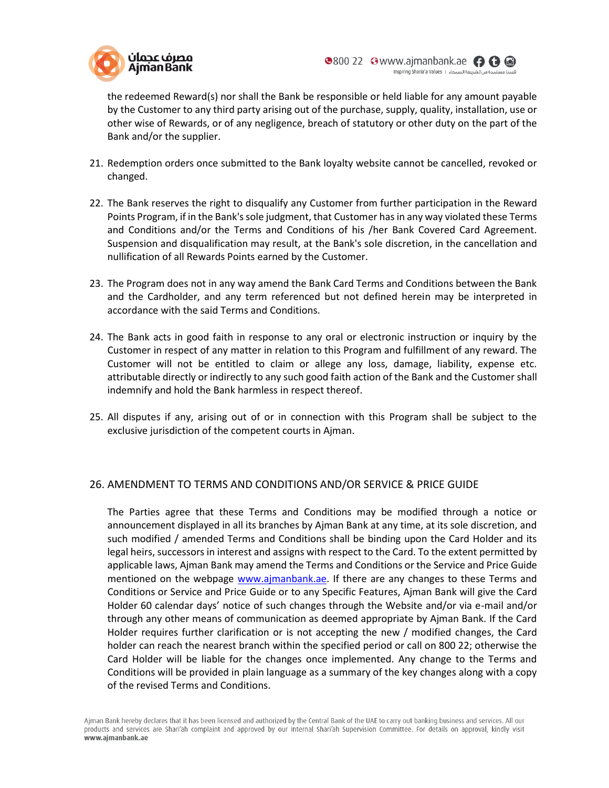

the redeemed Reward(s) nor shall the Bank be responsible or held liable for any amount payable by the Customer to any third party arising out of the purchase, supply, quality, installation, use or other wise of Rewards, or of any negligence, breach of statutory or other duty on the part of the Bank and/or the supplier.

- 21. Redemption orders once submitted to the Bank loyalty website cannot be cancelled, revoked or changed.
- 22. The Bank reserves the right to disqualify any Customer from further participation in the Reward Points Program, if in the Bank's sole judgment, that Customer has in any way violated these Terms and Conditions and/or the Terms and Conditions of his /her Bank Covered Card Agreement. Suspension and disqualification may result, at the Bank's sole discretion, in the cancellation and nullification of all Rewards Points earned by the Customer.
- 23. The Program does not in any way amend the Bank Card Terms and Conditions between the Bank and the Cardholder, and any term referenced but not defined herein may be interpreted in accordance with the said Terms and Conditions.
- 24. The Bank acts in good faith in response to any oral or electronic instruction or inquiry by the Customer in respect of any matter in relation to this Program and fulfillment of any reward. The Customer will not be entitled to claim or allege any loss, damage, liability, expense etc. attributable directly or indirectly to any such good faith action of the Bank and the Customer shall indemnify and hold the Bank harmless in respect thereof.
- 25. All disputes if any, arising out of or in connection with this Program shall be subject to the exclusive jurisdiction of the competent courts in Ajman.

## 26. AMENDMENT TO TERMS AND CONDITIONS AND/OR SERVICE & PRICE GUIDE

The Parties agree that these Terms and Conditions may be modified through a notice or announcement displayed in all its branches by Ajman Bank at any time, at its sole discretion, and such modified / amended Terms and Conditions shall be binding upon the Card Holder and its legal heirs, successors in interest and assigns with respect to the Card. To the extent permitted by applicable laws, Ajman Bank may amend the Terms and Conditions or the Service and Price Guide mentioned on the webpage [www.ajmanbank.ae.](https://www.ajmanbank.ae/site/tariff-of-charges-retail.html) If there are any changes to these Terms and Conditions or Service and Price Guide or to any Specific Features, Ajman Bank will give the Card Holder 60 calendar days' notice of such changes through the Website and/or via e-mail and/or through any other means of communication as deemed appropriate by Ajman Bank. If the Card Holder requires further clarification or is not accepting the new / modified changes, the Card holder can reach the nearest branch within the specified period or call on 800 22; otherwise the Card Holder will be liable for the changes once implemented. Any change to the Terms and Conditions will be provided in plain language as a summary of the key changes along with a copy of the revised Terms and Conditions.